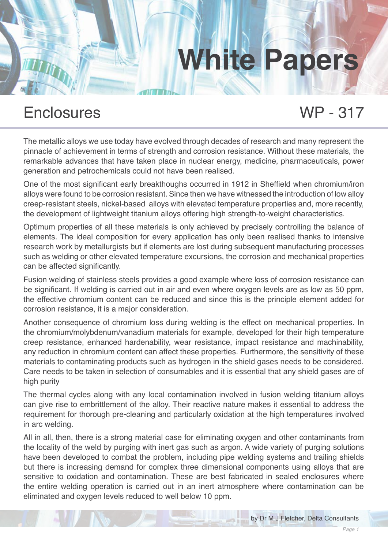### Enclosures WP - 317

The metallic alloys we use today have evolved through decades of research and many represent the pinnacle of achievement in terms of strength and corrosion resistance. Without these materials, the remarkable advances that have taken place in nuclear energy, medicine, pharmaceuticals, power generation and petrochemicals could not have been realised.

One of the most significant early breakthoughs occurred in 1912 in Sheffield when chromium/iron alloys were found to be corrosion resistant. Since then we have witnessed the introduction of low alloy creep-resistant steels, nickel-based alloys with elevated temperature properties and, more recently, the development of lightweight titanium alloys offering high strength-to-weight characteristics.

Optimum properties of all these materials is only achieved by precisely controlling the balance of elements. The ideal composition for every application has only been realised thanks to intensive research work by metallurgists but if elements are lost during subsequent manufacturing processes such as welding or other elevated temperature excursions, the corrosion and mechanical properties can be affected significantly.

Fusion welding of stainless steels provides a good example where loss of corrosion resistance can be significant. If welding is carried out in air and even where oxygen levels are as low as 50 ppm, the effective chromium content can be reduced and since this is the principle element added for corrosion resistance, it is a major consideration.

Another consequence of chromium loss during welding is the effect on mechanical properties. In the chromium/molybdenum/vanadium materials for example, developed for their high temperature creep resistance, enhanced hardenability, wear resistance, impact resistance and machinability, any reduction in chromium content can affect these properties. Furthermore, the sensitivity of these materials to contaminating products such as hydrogen in the shield gases needs to be considered. Care needs to be taken in selection of consumables and it is essential that any shield gases are of high purity

The thermal cycles along with any local contamination involved in fusion welding titanium alloys can give rise to embrittlement of the alloy. Their reactive nature makes it essential to address the requirement for thorough pre-cleaning and particularly oxidation at the high temperatures involved in arc welding.

All in all, then, there is a strong material case for eliminating oxygen and other contaminants from the locality of the weld by purging with inert gas such as argon. A wide variety of purging solutions have been developed to combat the problem, including pipe welding systems and trailing shields but there is increasing demand for complex three dimensional components using alloys that are sensitive to oxidation and contamination. These are best fabricated in sealed enclosures where the entire welding operation is carried out in an inert atmosphere where contamination can be eliminated and oxygen levels reduced to well below 10 ppm.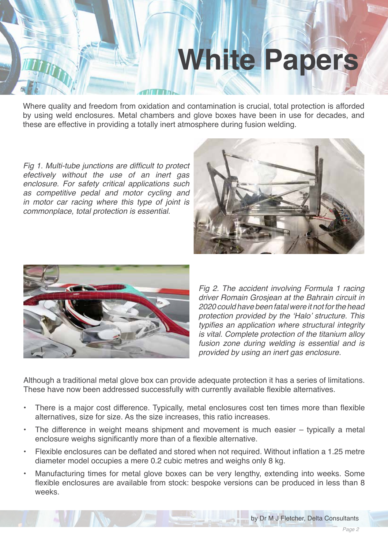Where quality and freedom from oxidation and contamination is crucial, total protection is afforded by using weld enclosures. Metal chambers and glove boxes have been in use for decades, and these are effective in providing a totally inert atmosphere during fusion welding.

Fig 1. Multi-tube junctions are difficult to protect *efectively without the use of an inert gas*  enclosure. For safety critical applications such as competitive pedal and motor cycling and in motor car racing where this type of joint is commonplace, total protection is essential.





*Fig 2. The accident involving Formula 1 racing driver Romain Grosjean at the Bahrain circuit in 2020 could have been fatal were it not for the head*  protection provided by the 'Halo' structure. This typifies an application where structural integrity is vital. Complete protection of the titanium alloy *fusion zone during welding is essential and is*  provided by using an inert gas enclosure.

Although a traditional metal glove box can provide adequate protection it has a series of limitations. These have now been addressed successfully with currently available flexible alternatives.

- There is a major cost difference. Typically, metal enclosures cost ten times more than flexible alternatives, size for size. As the size increases, this ratio increases.
- The difference in weight means shipment and movement is much easier typically a metal enclosure weighs significantly more than of a flexible alternative.
- Flexible enclosures can be deflated and stored when not required. Without inflation a 1.25 metre diameter model occupies a mere 0.2 cubic metres and weighs only 8 kg.
- Manufacturing times for metal glove boxes can be very lengthy, extending into weeks. Some flexible enclosures are available from stock: bespoke versions can be produced in less than 8 weeks.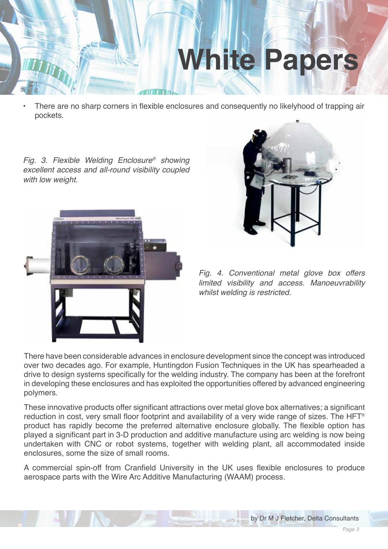• There are no sharp corners in flexible enclosures and consequently no likelyhood of trapping air pockets.

*Fig. 3. Flexible Welding Enclosure® showing*  excellent access and all-round visibility coupled *with low weight.* 





*Fig. 4. Conventional metal glove box offers limited visibility and access. Manoeuvrability whilst welding is restricted.* 

There have been considerable advances in enclosure development since the concept was introduced over two decades ago. For example, Huntingdon Fusion Techniques in the UK has spearheaded a drive to design systems specifically for the welding industry. The company has been at the forefront in developing these enclosures and has exploited the opportunities offered by advanced engineering polymers.

These innovative products offer significant attractions over metal glove box alternatives; a significant reduction in cost, very small floor footprint and availability of a very wide range of sizes. The HFT® product has rapidly become the preferred alternative enclosure globally. The flexible option has played a significant part in 3-D production and additive manufacture using arc welding is now being undertaken with CNC or robot systems, together with welding plant, all accommodated inside enclosures, some the size of small rooms.

A commercial spin-off from Cranfield University in the UK uses flexible enclosures to produce aerospace parts with the Wire Arc Additive Manufacturing (WAAM) process.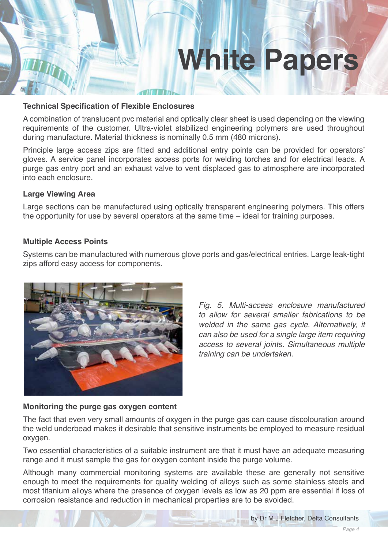#### **Technical Specification of Flexible Enclosures**

A combination of translucent pvc material and optically clear sheet is used depending on the viewing requirements of the customer. Ultra-violet stabilized engineering polymers are used throughout during manufacture. Material thickness is nominally 0.5 mm (480 microns).

Principle large access zips are fitted and additional entry points can be provided for operators' gloves. A service panel incorporates access ports for welding torches and for electrical leads. A purge gas entry port and an exhaust valve to vent displaced gas to atmosphere are incorporated into each enclosure.

#### **Large Viewing Area**

Large sections can be manufactured using optically transparent engineering polymers. This offers the opportunity for use by several operators at the same time – ideal for training purposes.

#### **Multiple Access Points**

Systems can be manufactured with numerous glove ports and gas/electrical entries. Large leak-tight zips afford easy access for components.



*Fig. 5. Multi-access enclosure manufactured to allow for several smaller fabrications to be*  welded in the same gas cycle. Alternatively, it *can also be used for a single large item requiring*  access to several joints. Simultaneous multiple *training can be undertaken.*

#### **Monitoring the purge gas oxygen content**

The fact that even very small amounts of oxygen in the purge gas can cause discolouration around the weld underbead makes it desirable that sensitive instruments be employed to measure residual oxygen.

Two essential characteristics of a suitable instrument are that it must have an adequate measuring range and it must sample the gas for oxygen content inside the purge volume.

Although many commercial monitoring systems are available these are generally not sensitive enough to meet the requirements for quality welding of alloys such as some stainless steels and most titanium alloys where the presence of oxygen levels as low as 20 ppm are essential if loss of corrosion resistance and reduction in mechanical properties are to be avoided.